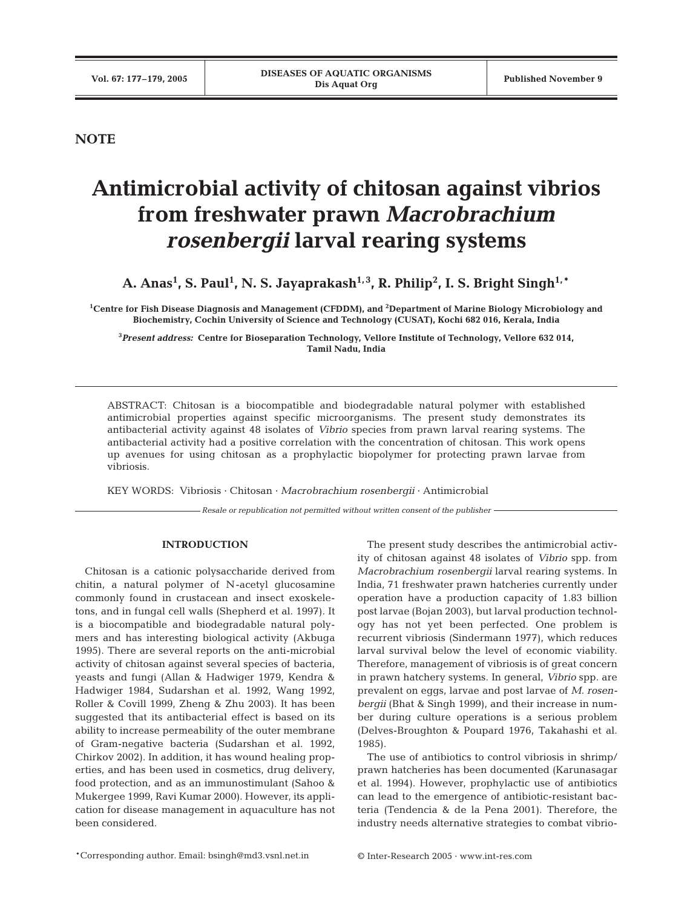## **NOTE**

# **Antimicrobial activity of chitosan against vibrios from freshwater prawn** *Macrobrachium rosenbergii* **larval rearing systems**

A. Anas<sup>1</sup>, S. Paul<sup>1</sup>, N. S. Jayaprakash<sup>1,3</sup>, R. Philip<sup>2</sup>, I. S. Bright Singh<sup>1,\*</sup>

**1 Centre for Fish Disease Diagnosis and Management (CFDDM), and 2 Department of Marine Biology Microbiology and Biochemistry, Cochin University of Science and Technology (CUSAT), Kochi 682 016, Kerala, India**

**3** *Present address:* **Centre for Bioseparation Technology, Vellore Institute of Technology, Vellore 632 014, Tamil Nadu, India**

ABSTRACT: Chitosan is a biocompatible and biodegradable natural polymer with established antimicrobial properties against specific microorganisms. The present study demonstrates its antibacterial activity against 48 isolates of *Vibrio* species from prawn larval rearing systems. The antibacterial activity had a positive correlation with the concentration of chitosan. This work opens up avenues for using chitosan as a prophylactic biopolymer for protecting prawn larvae from vibriosis.

KEY WORDS: Vibriosis · Chitosan · *Macrobrachium rosenbergii* · Antimicrobial

*Resale or republication not permitted without written consent of the publisher*

### **INTRODUCTION**

Chitosan is a cationic polysaccharide derived from chitin, a natural polymer of N -acetyl glucosamine commonly found in crustacean and insect exoskeletons, and in fungal cell walls (Shepherd et al. 1997). It is a biocompatible and biodegradable natural polymers and has interesting biological activity (Akbuga 1995). There are several reports on the anti-microbial activity of chitosan against several species of bacteria, yeasts and fungi (Allan & Hadwiger 1979, Kendra & Hadwiger 1984, Sudarshan et al. 1992, Wang 1992, Roller & Covill 1999, Zheng & Zhu 2003). It has been suggested that its antibacterial effect is based on its ability to increase permeability of the outer membrane of Gram-negative bacteria (Sudarshan et al. 1992, Chirkov 2002). In addition, it has wound healing properties, and has been used in cosmetics, drug delivery, food protection, and as an immunostimulant (Sahoo & Mukergee 1999, Ravi Kumar 2000). However, its application for disease management in aquaculture has not been considered.

The present study describes the antimicrobial activity of chitosan against 48 isolates of *Vibrio* spp. from *Macrobrachium rosenbergii* larval rearing systems. In India, 71 freshwater prawn hatcheries currently under operation have a production capacity of 1.83 billion post larvae (Bojan 2003), but larval production technology has not yet been perfected. One problem is recurrent vibriosis (Sindermann 1977), which reduces larval survival below the level of economic viability. Therefore, management of vibriosis is of great concern in prawn hatchery systems. In general, *Vibrio* spp. are prevalent on eggs, larvae and post larvae of *M. rosenbergii* (Bhat & Singh 1999), and their increase in number during culture operations is a serious problem (Delves-Broughton & Poupard 1976, Takahashi et al. 1985).

The use of antibiotics to control vibriosis in shrimp/ prawn hatcheries has been documented (Karunasagar et al. 1994). However, prophylactic use of antibiotics can lead to the emergence of antibiotic-resistant bacteria (Tendencia & de la Pena 2001). Therefore, the industry needs alternative strategies to combat vibrio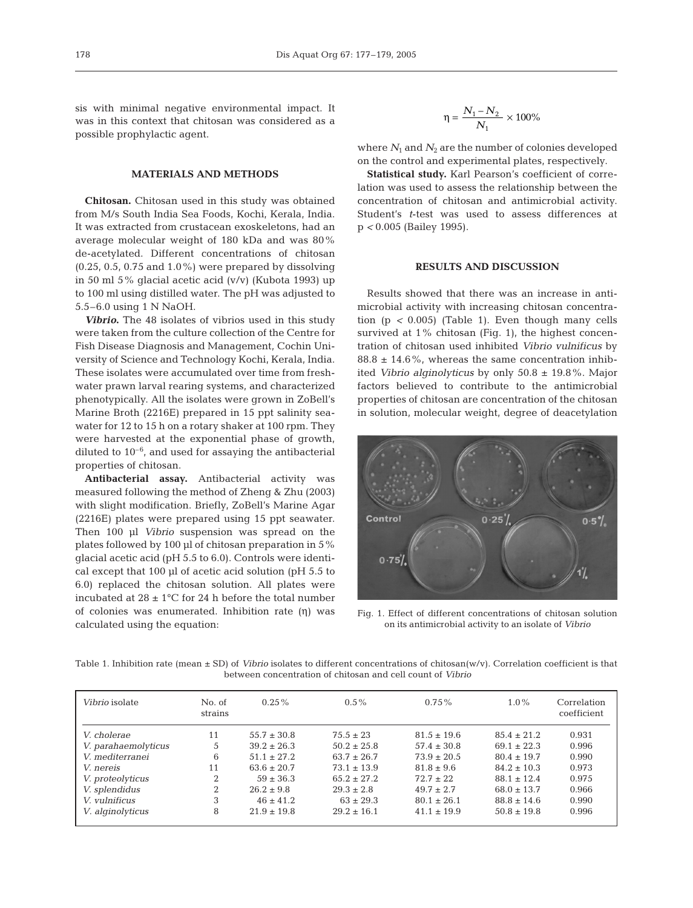sis with minimal negative environmental impact. It was in this context that chitosan was considered as a possible prophylactic agent.

## **MATERIALS AND METHODS**

**Chitosan.** Chitosan used in this study was obtained from M/s South India Sea Foods, Kochi, Kerala, India. It was extracted from crustacean exoskeletons, had an average molecular weight of 180 kDa and was 80% de-acetylated. Different concentrations of chitosan  $(0.25, 0.5, 0.75, 0.75, 1.0\%)$  were prepared by dissolving in 50 ml 5% glacial acetic acid (v/v) (Kubota 1993) up to 100 ml using distilled water. The pH was adjusted to 5.5–6.0 using 1 N NaOH.

*Vibrio***.** The 48 isolates of vibrios used in this study were taken from the culture collection of the Centre for Fish Disease Diagnosis and Management, Cochin University of Science and Technology Kochi, Kerala, India. These isolates were accumulated over time from freshwater prawn larval rearing systems, and characterized phenotypically. All the isolates were grown in ZoBell's Marine Broth (2216E) prepared in 15 ppt salinity seawater for 12 to 15 h on a rotary shaker at 100 rpm. They were harvested at the exponential phase of growth, diluted to  $10^{-6}$ , and used for assaying the antibacterial properties of chitosan.

**Antibacterial assay.** Antibacterial activity was measured following the method of Zheng & Zhu (2003) with slight modification. Briefly, ZoBell's Marine Agar (2216E) plates were prepared using 15 ppt seawater. Then 100 μl *Vibrio* suspension was spread on the plates followed by 100 μl of chitosan preparation in 5% glacial acetic acid (pH 5.5 to 6.0). Controls were identical except that 100 μl of acetic acid solution (pH 5.5 to 6.0) replaced the chitosan solution. All plates were incubated at  $28 \pm 1^{\circ}$ C for 24 h before the total number of colonies was enumerated. Inhibition rate (η) was calculated using the equation:

$$
\eta=\frac{N_1-N_2}{N_1}\times 100\%
$$

where  $N_1$  and  $N_2$  are the number of colonies developed on the control and experimental plates, respectively.

**Statistical study.** Karl Pearson's coefficient of correlation was used to assess the relationship between the concentration of chitosan and antimicrobial activity. Student's *t*-test was used to assess differences at p *<* 0.005 (Bailey 1995).

#### **RESULTS AND DISCUSSION**

Results showed that there was an increase in antimicrobial activity with increasing chitosan concentration (p *<* 0.005) (Table 1). Even though many cells survived at 1% chitosan (Fig. 1), the highest concentration of chitosan used inhibited *Vibrio vulnificus* by  $88.8 \pm 14.6\%$ , whereas the same concentration inhibited *Vibrio alginolyticus* by only 50.8 ± 19.8%. Major factors believed to contribute to the antimicrobial properties of chitosan are concentration of the chitosan in solution, molecular weight, degree of deacetylation



Fig. 1. Effect of different concentrations of chitosan solution on its antimicrobial activity to an isolate of *Vibrio*

Table 1. Inhibition rate (mean ± SD) of *Vibrio* isolates to different concentrations of chitosan(w/v). Correlation coefficient is that between concentration of chitosan and cell count of *Vibrio*

| Vibrio isolate      | No. of<br>strains | $0.25\%$        | $0.5\%$         | $0.75\%$        | $1.0\%$         | Correlation<br>coefficient |
|---------------------|-------------------|-----------------|-----------------|-----------------|-----------------|----------------------------|
| V. cholerae         | 11                | $55.7 \pm 30.8$ | $75.5 \pm 23$   | $81.5 \pm 19.6$ | $85.4 \pm 21.2$ | 0.931                      |
| V. parahaemolyticus | 5                 | $39.2 \pm 26.3$ | $50.2 \pm 25.8$ | $57.4 \pm 30.8$ | $69.1 \pm 22.3$ | 0.996                      |
| V. mediterranei     | 6                 | $51.1 \pm 27.2$ | $63.7 \pm 26.7$ | $73.9 \pm 20.5$ | $80.4 \pm 19.7$ | 0.990                      |
| V nereis            | 11                | $63.6 \pm 20.7$ | $73.1 + 13.9$   | $81.8 \pm 9.6$  | $84.2 \pm 10.3$ | 0.973                      |
| V. proteolyticus    | $\mathcal{D}$     | $59 \pm 36.3$   | $65.2 + 27.2$   | $72.7 + 22.$    | $88.1 + 12.4$   | 0.975                      |
| V. splendidus       | $\overline{2}$    | $26.2 \pm 9.8$  | $29.3 \pm 2.8$  | $49.7 \pm 2.7$  | $68.0 \pm 13.7$ | 0.966                      |
| V. vulnificus       | 3                 | $46 \pm 41.2$   | $63 + 29.3$     | $80.1 + 26.1$   | $88.8 \pm 14.6$ | 0.990                      |
| V. alginolyticus    | 8                 | $21.9 \pm 19.8$ | $29.2 \pm 16.1$ | $41.1 \pm 19.9$ | $50.8 \pm 19.8$ | 0.996                      |
|                     |                   |                 |                 |                 |                 |                            |